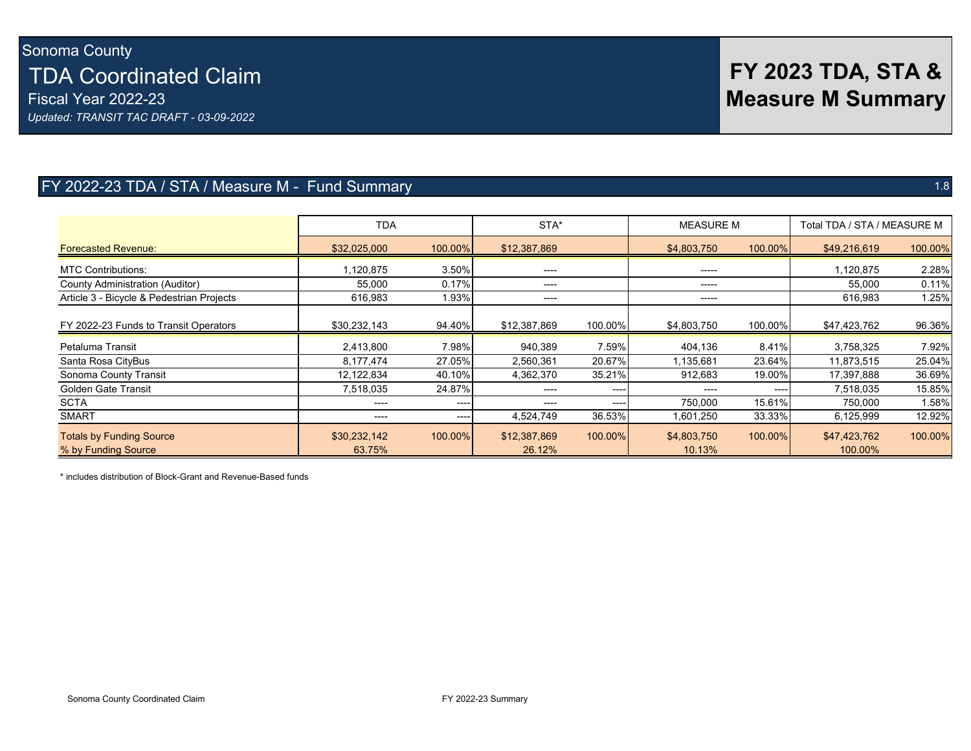# **FY 2023 TDA, STA & Measure M Summary**

## FY 2022-23 TDA / STA / Measure M - Fund Summary 1.8

|                                                        | <b>TDA</b>             |         | STA*                   |         | <b>MEASURE M</b>      |         | Total TDA / STA / MEASURE M |         |
|--------------------------------------------------------|------------------------|---------|------------------------|---------|-----------------------|---------|-----------------------------|---------|
| <b>Forecasted Revenue:</b>                             | \$32,025,000           | 100.00% | \$12,387,869           |         | \$4,803,750           | 100.00% | \$49,216,619                | 100.00% |
| <b>MTC Contributions:</b>                              | 1,120,875              | 3.50%   | ----                   |         | $-----1$              |         | 1,120,875                   | 2.28%   |
| County Administration (Auditor)                        | 55,000                 | 0.17%   | ----                   |         | -----                 |         | 55,000                      | 0.11%   |
| Article 3 - Bicycle & Pedestrian Projects              | 616,983                | 1.93%   | ----                   |         | -----                 |         | 616,983                     | 1.25%   |
| FY 2022-23 Funds to Transit Operators                  | \$30,232,143           | 94.40%  | \$12,387,869           | 100.00% | \$4,803,750           | 100.00% | \$47,423,762                | 96.36%  |
| Petaluma Transit                                       | 2,413,800              | 7.98%   | 940,389                | 7.59%   | 404,136               | 8.41%   | 3,758,325                   | 7.92%   |
| Santa Rosa CityBus                                     | 8,177,474              | 27.05%  | 2,560,361              | 20.67%  | 1,135,681             | 23.64%  | 11,873,515                  | 25.04%  |
| Sonoma County Transit                                  | 12,122,834             | 40.10%  | 4,362,370              | 35.21%  | 912,683               | 19.00%  | 17,397,888                  | 36.69%  |
| <b>Golden Gate Transit</b>                             | 7,518,035              | 24.87%  | ----                   | ----    |                       | ----    | 7,518,035                   | 15.85%  |
| <b>SCTA</b>                                            | ----                   | ----    | ----                   | ----    | 750,000               | 15.61%  | 750,000                     | 1.58%   |
| <b>SMART</b>                                           | ----                   | ----    | 4,524,749              | 36.53%  | 1,601,250             | 33.33%  | 6,125,999                   | 12.92%  |
| <b>Totals by Funding Source</b><br>% by Funding Source | \$30,232,142<br>63.75% | 100.00% | \$12,387,869<br>26.12% | 100.00% | \$4,803,750<br>10.13% | 100.00% | \$47,423,762<br>100.00%     | 100.00% |

\* includes distribution of Block-Grant and Revenue-Based funds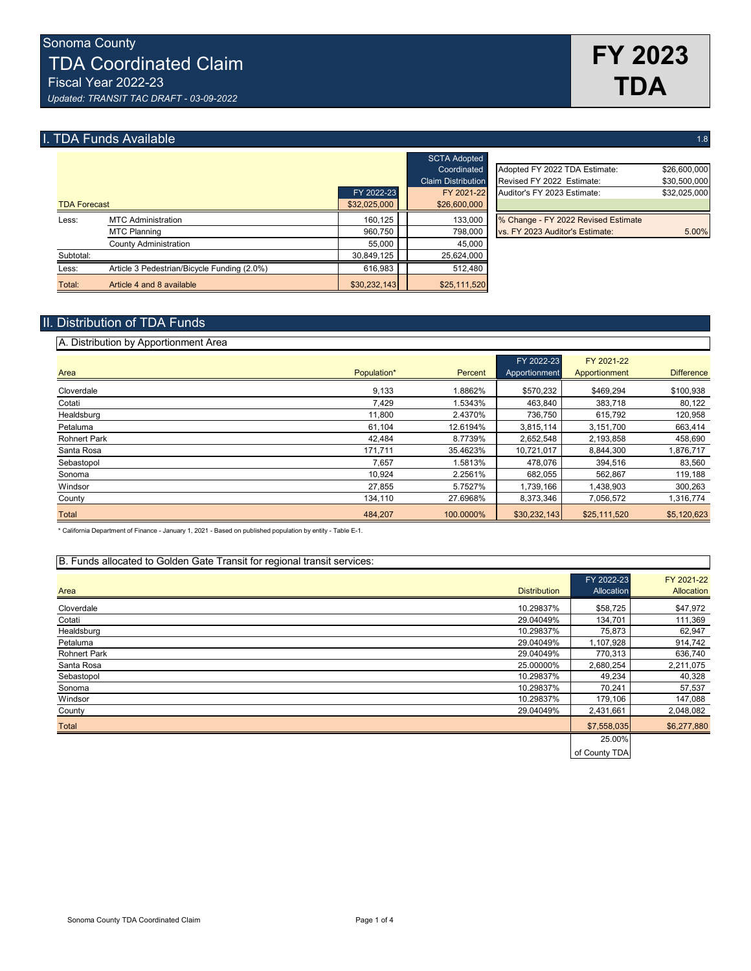## **I. TDA Funds Available** 1.8 **1.8** 1.8 **1.8** 1.8 **1.8** 1.8 **1.8** 1.8 **1.8** 1.8 **1.8** 1.8 **1.8** 1.8 **1.8** 1.8 **1.8** 1.8

|                     |                                             |              | <b>SCTA Adopted</b>       |                                     |              |
|---------------------|---------------------------------------------|--------------|---------------------------|-------------------------------------|--------------|
|                     |                                             |              | Coordinated               | Adopted FY 2022 TDA Estimate:       | \$26,600,000 |
|                     |                                             |              | <b>Claim Distribution</b> | Revised FY 2022 Estimate:           | \$30,500,000 |
|                     |                                             | FY 2022-23   | FY 2021-22                | Auditor's FY 2023 Estimate:         | \$32,025,000 |
| <b>TDA Forecast</b> |                                             | \$32,025,000 | \$26,600,000              |                                     |              |
| Less:               | <b>MTC Administration</b>                   | 160,125      | 133,000                   | % Change - FY 2022 Revised Estimate |              |
|                     | <b>MTC Planning</b>                         | 960.750      | 798,000                   | vs. FY 2023 Auditor's Estimate:     | 5.00%        |
|                     | County Administration                       | 55.000       | 45.000                    |                                     |              |
| Subtotal:           |                                             | 30.849.125   | 25,624,000                |                                     |              |
| Less:               | Article 3 Pedestrian/Bicycle Funding (2.0%) | 616.983      | 512,480                   |                                     |              |
| Total:              | Article 4 and 8 available                   | \$30,232,143 | \$25,111,520              |                                     |              |

|            | <b>UUIN AUUPIGU</b>       |                                     |              |
|------------|---------------------------|-------------------------------------|--------------|
|            | Coordinated               | Adopted FY 2022 TDA Estimate:       | \$26,600,000 |
|            | <b>Claim Distribution</b> | Revised FY 2022 Estimate:           | \$30,500,000 |
| FY 2022-23 | FY 2021-22                | Auditor's FY 2023 Estimate:         | \$32,025,000 |
| 32.025.000 | \$26,600,000              |                                     |              |
| 160.125    | 133,000                   | % Change - FY 2022 Revised Estimate |              |
| 960.750    | 798,000                   | vs. FY 2023 Auditor's Estimate:     | 5.00%        |
| EE OOO     | $AE$ 000                  |                                     |              |

## II. Distribution of TDA Funds

| A. Distribution by Apportionment Area |             |           |                             |                             |                   |
|---------------------------------------|-------------|-----------|-----------------------------|-----------------------------|-------------------|
| Area                                  | Population* | Percent   | FY 2022-23<br>Apportionment | FY 2021-22<br>Apportionment | <b>Difference</b> |
| Cloverdale                            | 9,133       | 1.8862%   | \$570,232                   | \$469.294                   | \$100,938         |
| Cotati                                | 7,429       | 1.5343%   | 463,840                     | 383,718                     | 80,122            |
| Healdsburg                            | 11,800      | 2.4370%   | 736,750                     | 615,792                     | 120,958           |
| Petaluma                              | 61,104      | 12.6194%  | 3,815,114                   | 3,151,700                   | 663,414           |
| <b>Rohnert Park</b>                   | 42,484      | 8.7739%   | 2,652,548                   | 2,193,858                   | 458,690           |
| Santa Rosa                            | 171,711     | 35.4623%  | 10,721,017                  | 8,844,300                   | 1,876,717         |
| Sebastopol                            | 7,657       | 1.5813%   | 478,076                     | 394,516                     | 83,560            |
| Sonoma                                | 10.924      | 2.2561%   | 682.055                     | 562.867                     | 119,188           |
| Windsor                               | 27,855      | 5.7527%   | 1,739,166                   | 1,438,903                   | 300,263           |
| County                                | 134,110     | 27.6968%  | 8,373,346                   | 7,056,572                   | 1,316,774         |
| Total                                 | 484,207     | 100.0000% | \$30,232,143                | \$25,111,520                | \$5,120,623       |

\* California Department of Finance - January 1, 2021 - Based on published population by entity - Table E-1.

### B. Funds allocated to Golden Gate Transit for regional transit services:

|                     |                     | FY 2022-23    | FY 2021-22  |
|---------------------|---------------------|---------------|-------------|
| Area                | <b>Distribution</b> | Allocation    | Allocation  |
| Cloverdale          | 10.29837%           | \$58,725      | \$47,972    |
| Cotati              | 29.04049%           | 134,701       | 111,369     |
| Healdsburg          | 10.29837%           | 75,873        | 62,947      |
| Petaluma            | 29.04049%           | 1,107,928     | 914,742     |
| <b>Rohnert Park</b> | 29.04049%           | 770,313       | 636,740     |
| Santa Rosa          | 25.00000%           | 2,680,254     | 2,211,075   |
| Sebastopol          | 10.29837%           | 49,234        | 40,328      |
| Sonoma              | 10.29837%           | 70,241        | 57,537      |
| Windsor             | 10.29837%           | 179,106       | 147,088     |
| County              | 29.04049%           | 2,431,661     | 2,048,082   |
| Total               |                     | \$7,558,035   | \$6,277,880 |
|                     |                     | 25.00%        |             |
|                     |                     | of County TDA |             |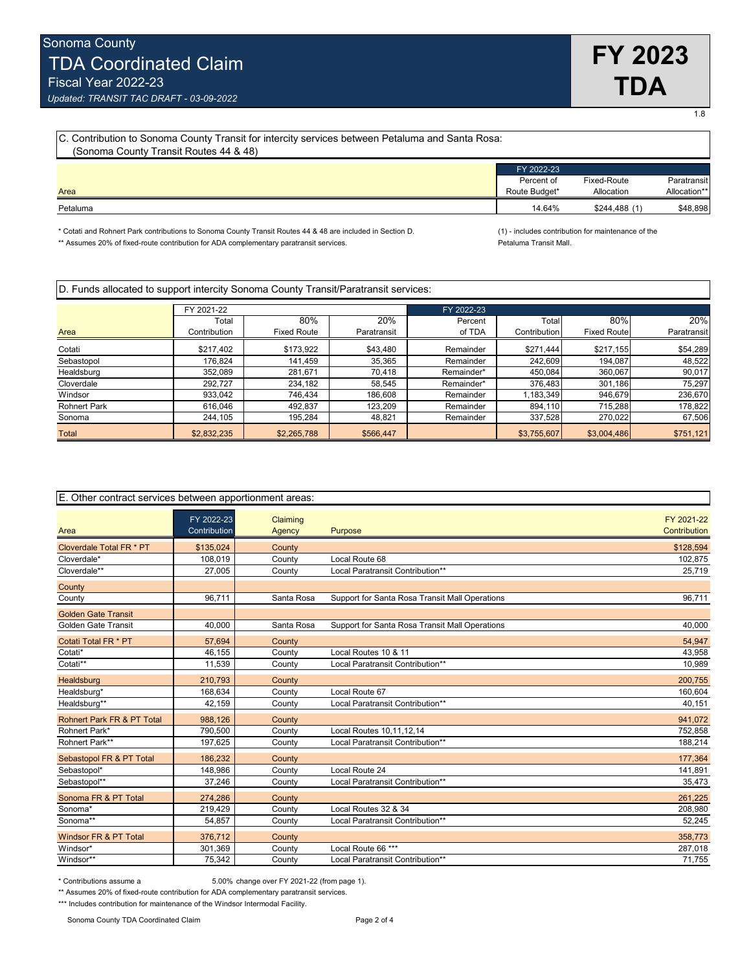1.8

*Updated: TRANSIT TAC DRAFT - 03-09-2022*

| [C. Contribution to Sonoma County Transit for intercity services between Petaluma and Santa Rosa: |               |              |              |  |  |
|---------------------------------------------------------------------------------------------------|---------------|--------------|--------------|--|--|
| (Sonoma County Transit Routes 44 & 48)                                                            |               |              |              |  |  |
|                                                                                                   | FY 2022-23    |              |              |  |  |
|                                                                                                   | Percent of    | Fixed-Route  | Paratransit  |  |  |
| Area                                                                                              | Route Budget* | Allocation   | Allocation** |  |  |
| Petaluma                                                                                          | 14.64%        | \$244,488(1) | \$48,898     |  |  |

\* Cotati and Rohnert Park contributions to Sonoma County Transit Routes 44 & 48 are included in Section D. (1) - includes contribution for maintenance of the<br>\*\* Assumes 20% of fixed-route contribution for ADA complementary \*\* Assumes 20% of fixed-route contribution for ADA complementary paratransit services.

D. Funds allocated to support intercity Sonoma County Transit/Paratransit services:

| FY 2021-22          |              |                    | FY 2022-23  |            |              |                    |             |
|---------------------|--------------|--------------------|-------------|------------|--------------|--------------------|-------------|
|                     | Total        | 80%                | 20%         | Percent    | Total        | 80%                | 20%         |
| Area                | Contribution | <b>Fixed Route</b> | Paratransit | of TDA     | Contribution | <b>Fixed Route</b> | Paratransit |
| Cotati              | \$217,402    | \$173,922          | \$43,480    | Remainder  | \$271,444    | \$217,155          | \$54,289    |
| Sebastopol          | 176.824      | 141,459            | 35,365      | Remainder  | 242,609      | 194,087            | 48,522      |
| Healdsburg          | 352,089      | 281,671            | 70.418      | Remainder* | 450,084      | 360,067            | 90.017      |
| Cloverdale          | 292.727      | 234,182            | 58.545      | Remainder* | 376,483      | 301,186            | 75,297      |
| Windsor             | 933.042      | 746.434            | 186,608     | Remainder  | .183,349     | 946,679            | 236,670     |
| <b>Rohnert Park</b> | 616.046      | 492,837            | 123,209     | Remainder  | 894,110      | 715,288            | 178,822     |
| Sonoma              | 244,105      | 195,284            | 48,821      | Remainder  | 337,528      | 270,022            | 67,506      |
| Total               | \$2,832,235  | \$2,265,788        | \$566,447   |            | \$3,755,607  | \$3,004,486        | \$751,121   |

| E. Other contract services between apportionment areas: |                            |                    |                                                |                            |  |
|---------------------------------------------------------|----------------------------|--------------------|------------------------------------------------|----------------------------|--|
| Area                                                    | FY 2022-23<br>Contribution | Claiming<br>Agency | <b>Purpose</b>                                 | FY 2021-22<br>Contribution |  |
| Cloverdale Total FR * PT                                | \$135,024                  | County             |                                                | \$128,594                  |  |
| Cloverdale*                                             | 108.019                    | County             | Local Route 68                                 | 102,875                    |  |
| Cloverdale**                                            | 27,005                     | County             | Local Paratransit Contribution**               | 25.719                     |  |
| County                                                  |                            |                    |                                                |                            |  |
| County                                                  | 96,711                     | Santa Rosa         | Support for Santa Rosa Transit Mall Operations | 96,711                     |  |
| <b>Golden Gate Transit</b>                              |                            |                    |                                                |                            |  |
| Golden Gate Transit                                     | 40,000                     | Santa Rosa         | Support for Santa Rosa Transit Mall Operations | 40,000                     |  |
| Cotati Total FR * PT                                    | 57,694                     | County             |                                                | 54,947                     |  |
| Cotati*                                                 | 46,155                     | County             | Local Routes 10 & 11                           | 43,958                     |  |
| Cotati**                                                | 11,539                     | County             | Local Paratransit Contribution**               | 10,989                     |  |
| Healdsburg                                              | 210,793                    | County             |                                                | 200,755                    |  |
| Healdsburg*                                             | 168,634                    | County             | Local Route 67                                 | 160,604                    |  |
| Healdsburg**                                            | 42,159                     | County             | Local Paratransit Contribution**               | 40,151                     |  |
| <b>Rohnert Park FR &amp; PT Total</b>                   | 988.126                    | County             |                                                | 941,072                    |  |
| Rohnert Park*                                           | 790,500                    | County             | Local Routes 10,11,12,14                       | 752,858                    |  |
| Rohnert Park**                                          | 197,625                    | County             | Local Paratransit Contribution**               | 188,214                    |  |
| Sebastopol FR & PT Total                                | 186.232                    | County             |                                                | 177,364                    |  |
| Sebastopol*                                             | 148,986                    | County             | Local Route 24                                 | 141,891                    |  |
| Sebastopol**                                            | 37,246                     | County             | Local Paratransit Contribution**               | 35,473                     |  |
| Sonoma FR & PT Total                                    | 274,286                    | County             |                                                | 261,225                    |  |
| Sonoma*                                                 | 219,429                    | County             | Local Routes 32 & 34                           | 208,980                    |  |
| Sonoma**                                                | 54,857                     | County             | Local Paratransit Contribution**               | 52,245                     |  |
| Windsor FR & PT Total                                   | 376.712                    | County             |                                                | 358,773                    |  |
| Windsor*                                                | 301,369                    | County             | Local Route 66 ***                             | 287,018                    |  |
| Windsor**                                               | 75,342                     | County             | Local Paratransit Contribution**               | 71,755                     |  |

\* Contributions assume a 5.00% change over FY 2021-22 (from page 1).

\*\* Assumes 20% of fixed-route contribution for ADA complementary paratransit services. \*\*\* Includes contribution for maintenance of the Windsor Intermodal Facility.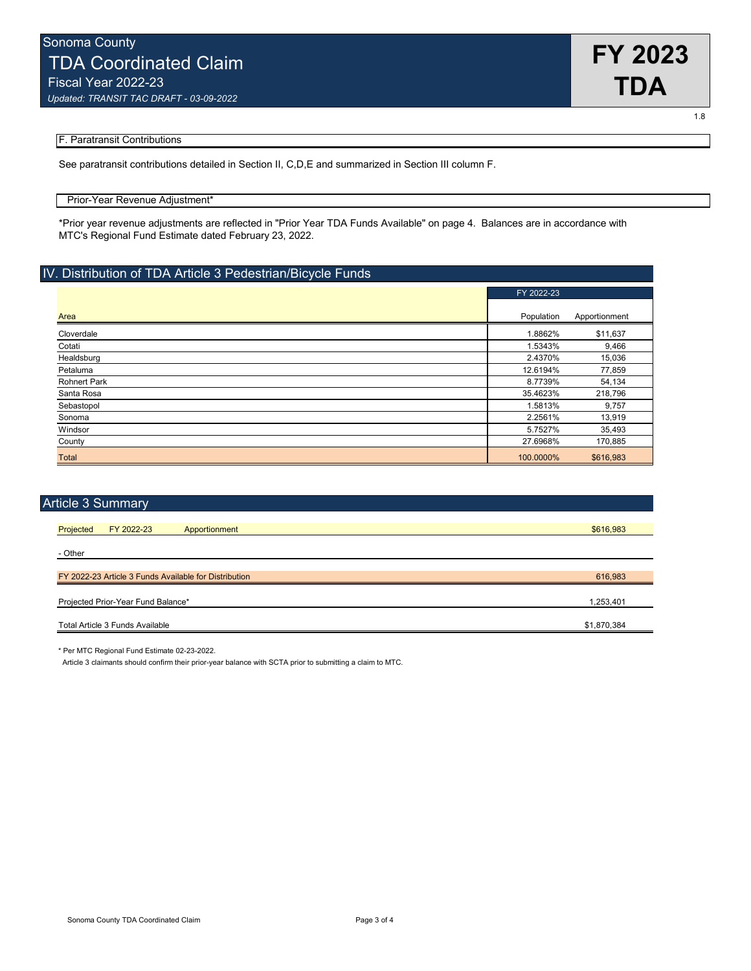

1.8

#### F. Paratransit Contributions

See paratransit contributions detailed in Section II, C,D,E and summarized in Section III column F.

#### Prior-Year Revenue Adjustment\*

\*Prior year revenue adjustments are reflected in "Prior Year TDA Funds Available" on page 4. Balances are in accordance with MTC's Regional Fund Estimate dated February 23, 2022.

## IV. Distribution of TDA Article 3 Pedestrian/Bicycle Funds

|                     | FY 2022-23 |               |
|---------------------|------------|---------------|
|                     |            |               |
| Area                | Population | Apportionment |
| Cloverdale          | 1.8862%    | \$11,637      |
| Cotati              | 1.5343%    | 9,466         |
| Healdsburg          | 2.4370%    | 15,036        |
| Petaluma            | 12.6194%   | 77,859        |
| <b>Rohnert Park</b> | 8.7739%    | 54,134        |
| Santa Rosa          | 35.4623%   | 218,796       |
| Sebastopol          | 1.5813%    | 9,757         |
| Sonoma              | 2.2561%    | 13,919        |
| Windsor             | 5.7527%    | 35,493        |
| County              | 27.6968%   | 170,885       |
| Total               | 100.0000%  | \$616,983     |

| <b>Article 3 Summary</b>                              |             |
|-------------------------------------------------------|-------------|
|                                                       |             |
| FY 2022-23<br>Projected<br>Apportionment              | \$616,983   |
|                                                       |             |
| - Other                                               |             |
|                                                       |             |
| FY 2022-23 Article 3 Funds Available for Distribution | 616,983     |
|                                                       |             |
| Projected Prior-Year Fund Balance*                    | 1,253,401   |
|                                                       |             |
| Total Article 3 Funds Available                       | \$1,870,384 |
|                                                       |             |

\* Per MTC Regional Fund Estimate 02-23-2022.

Article 3 claimants should confirm their prior-year balance with SCTA prior to submitting a claim to MTC.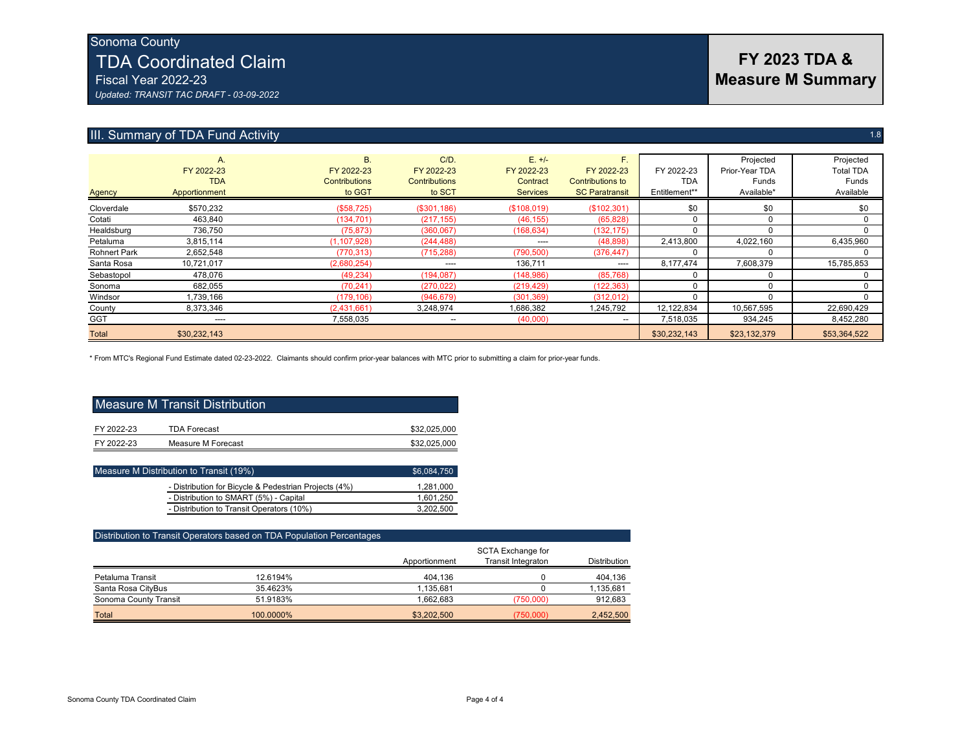## Sonoma County TDA Coordinated Claim Fiscal Year 2022-23

*Updated: TRANSIT TAC DRAFT - 03-09-2022*

## III. Summary of TDA Fund Activity 1.8

| <b>Agency</b>       | A.<br>FY 2022-23<br><b>TDA</b><br>Apportionment | <b>B.</b><br>FY 2022-23<br><b>Contributions</b><br>to GGT | $C/D$ .<br>FY 2022-23<br><b>Contributions</b><br>to SCT | $E. +/-$<br>FY 2022-23<br>Contract<br><b>Services</b> | F.<br>FY 2022-23<br><b>Contributions to</b><br><b>SC Paratransit</b> | FY 2022-23<br><b>TDA</b><br>Entitlement** | Projected<br>Prior-Year TDA<br>Funds<br>Available* | Projected<br><b>Total TDA</b><br>Funds<br>Available |
|---------------------|-------------------------------------------------|-----------------------------------------------------------|---------------------------------------------------------|-------------------------------------------------------|----------------------------------------------------------------------|-------------------------------------------|----------------------------------------------------|-----------------------------------------------------|
| Cloverdale          | \$570,232                                       | (\$58,725)                                                | (\$301,186)                                             | (\$108,019)                                           | (\$102,301)                                                          | \$0                                       | \$0                                                | \$0                                                 |
| Cotati              | 463,840                                         | (134, 701)                                                | (217, 155)                                              | (46, 155)                                             | (65, 828)                                                            |                                           | 0                                                  |                                                     |
| Healdsburg          | 736,750                                         | (75, 873)                                                 | (360,067)                                               | (168, 634)                                            | (132, 175)                                                           |                                           |                                                    |                                                     |
| Petaluma            | 3,815,114                                       | (1, 107, 928)                                             | (244, 488)                                              | $\cdots$                                              | (48, 898)                                                            | 2,413,800                                 | 4,022,160                                          | 6,435,960                                           |
| <b>Rohnert Park</b> | 2,652,548                                       | (770, 313)                                                | (715, 288)                                              | (790, 500)                                            | (376, 447)                                                           |                                           |                                                    |                                                     |
| Santa Rosa          | 10,721,017                                      | (2,680,254)                                               | $---$                                                   | 136,711                                               | $\cdots$                                                             | 8,177,474                                 | 7,608,379                                          | 15,785,853                                          |
| Sebastopol          | 478,076                                         | (49, 234)                                                 | (194, 087)                                              | (148, 986)                                            | (85, 768)                                                            |                                           |                                                    |                                                     |
| Sonoma              | 682,055                                         | (70, 241)                                                 | (270, 022)                                              | (219, 429)                                            | (122, 363)                                                           |                                           |                                                    |                                                     |
| Windsor             | 1,739,166                                       | (179, 106)                                                | (946, 679)                                              | (301, 369)                                            | (312, 012)                                                           |                                           |                                                    |                                                     |
| County              | 8,373,346                                       | (2,431,661)                                               | 3.248.974                                               | 1,686,382                                             | 1,245,792                                                            | 12,122,834                                | 10,567,595                                         | 22,690,429                                          |
| <b>GGT</b>          | ----                                            | 7,558,035                                                 | --                                                      | (40,000)                                              | $- -$                                                                | 7.518.035                                 | 934.245                                            | 8.452.280                                           |
| <b>Total</b>        | \$30,232,143                                    |                                                           |                                                         |                                                       |                                                                      | \$30,232,143                              | \$23,132,379                                       | \$53,364,522                                        |

\* From MTC's Regional Fund Estimate dated 02-23-2022. Claimants should confirm prior-year balances with MTC prior to submitting a claim for prior-year funds.

| Measure M Transit Distribution |                     |              |  |  |
|--------------------------------|---------------------|--------------|--|--|
| FY 2022-23                     | <b>TDA Forecast</b> | \$32,025,000 |  |  |
| FY 2022-23                     | Measure M Forecast  | \$32,025,000 |  |  |

| Measure M Distribution to Transit (19%)               | \$6,084,750 |
|-------------------------------------------------------|-------------|
| - Distribution for Bicycle & Pedestrian Projects (4%) | 1.281.000   |
| - Distribution to SMART (5%) - Capital                | 1,601,250   |
| - Distribution to Transit Operators (10%)             | 3.202.500   |

| Distribution to Transit Operators based on TDA Population Percentages |           |               |                                                |                     |  |  |  |  |  |
|-----------------------------------------------------------------------|-----------|---------------|------------------------------------------------|---------------------|--|--|--|--|--|
|                                                                       |           | Apportionment | <b>SCTA Exchange for</b><br>Transit Integraton | <b>Distribution</b> |  |  |  |  |  |
|                                                                       |           |               |                                                |                     |  |  |  |  |  |
| Petaluma Transit                                                      | 12.6194%  | 404.136       |                                                | 404,136             |  |  |  |  |  |
| Santa Rosa CityBus                                                    | 35.4623%  | 1.135.681     |                                                | 1,135,681           |  |  |  |  |  |
| Sonoma County Transit                                                 | 51.9183%  | 1.662.683     | (750.000)                                      | 912,683             |  |  |  |  |  |
| Total                                                                 | 100.0000% | \$3,202,500   | (750,000)                                      | 2,452,500           |  |  |  |  |  |

## **FY 2023 TDA & Measure M Summary**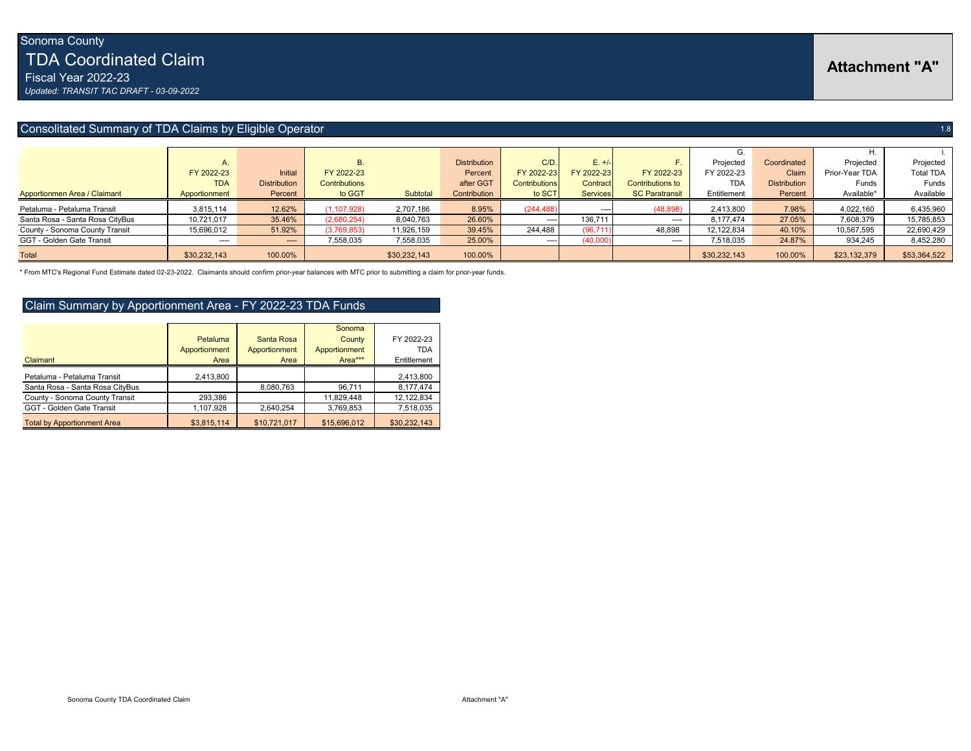Fiscal Year 2022-23 *Updated: TRANSIT TAC DRAFT - 03-09-2022*

## Consolitated Summary of TDA Claims by Eligible Operator 1.8 and 2.1 and 2.1 and 2.1 and 2.1 and 2.1 and 2.1 and 2.1 and 2.1 and 2.1 and 2.1 and 2.1 and 2.1 and 2.1 and 2.1 and 2.1 and 2.1 and 2.1 and 2.1 and 2.1 and 2.1 an

|                                 |               |                     |               |              |                     |                      |                 |                         |              |                     | H.             |                  |
|---------------------------------|---------------|---------------------|---------------|--------------|---------------------|----------------------|-----------------|-------------------------|--------------|---------------------|----------------|------------------|
|                                 | Α.            |                     |               |              | <b>Distribution</b> | C/D                  | $E. +/-$        |                         | Projected    | Coordinated         | Projected      | Projected        |
|                                 | FY 2022-23    | Initial             | FY 2022-23    |              | Percent             | FY 2022-23           | FY 2022-23      | FY 2022-23              | FY 2022-23   | Claim               | Prior-Year TDA | <b>Total TDA</b> |
|                                 | <b>TDA</b>    | <b>Distribution</b> | Contributions |              | after GGT           | <b>Contributions</b> | Contract        | <b>Contributions to</b> | <b>TDA</b>   | <b>Distribution</b> | Funds          | Funds            |
| Apportionmen Area / Claimant    | Apportionment | Percent             | to GGT        | Subtotal     | Contribution        | to SCT               | <b>Services</b> | <b>SC Paratransit</b>   | Entitlement  | Percent             | Available*     | Available        |
| Petaluma - Petaluma Transit     | 3,815,114     | 12.62%              | (1, 107, 928) | 2,707,186    | 8.95%               | (244, 488)           | $\cdots$        | (48, 898)               | 2.413.800    | 7.98%               | 4.022.160      | 6,435,960        |
| Santa Rosa - Santa Rosa CityBus | 10,721,017    | 35.46%              | (2,680,254)   | 8,040,763    | 26.60%              | $---$                | 136,711         | $\cdots$                | 8.177.474    | 27.05%              | 7,608,379      | 15,785,853       |
| County - Sonoma County Transit  | 15,696,012    | 51.92%              | (3,769,853)   | 11,926,159   | 39.45%              | 244,488              | (96, 711)       | 48,898                  | 12,122,834   | 40.10%              | 10,567,595     | 22,690,429       |
| GGT - Golden Gate Transit       | $\cdots$      | $\cdots$            | 7,558,035     | 7,558,035    | 25.00%              | ----                 | (40,000)        | $---$                   | 7,518,035    | 24.87%              | 934,245        | 8,452,280        |
| Total                           | \$30,232,143  | 100.00%             |               | \$30,232,143 | 100.00%             |                      |                 |                         | \$30,232,143 | 100.00%             | \$23,132,379   | \$53,364,522     |

\* From MTC's Regional Fund Estimate dated 02-23-2022. Claimants should confirm prior-year balances with MTC prior to submitting a claim for prior-year funds.

## Claim Summary by Apportionment Area - FY 2022-23 TDA Funds

|                                    |               |               | Sonoma        |              |
|------------------------------------|---------------|---------------|---------------|--------------|
|                                    | Petaluma      | Santa Rosa    | County        | FY 2022-23   |
|                                    | Apportionment | Apportionment | Apportionment | TDA          |
| Claimant                           | Area          | Area          | Area***       | Entitlement  |
| Petaluma - Petaluma Transit        | 2,413,800     |               |               | 2,413,800    |
| Santa Rosa - Santa Rosa CityBus    |               | 8.080.763     | 96,711        | 8,177,474    |
| County - Sonoma County Transit     | 293,386       |               | 11.829.448    | 12,122,834   |
| GGT - Golden Gate Transit          | 1,107,928     | 2.640.254     | 3,769,853     | 7,518,035    |
| <b>Total by Apportionment Area</b> | \$3,815,114   | \$10,721,017  | \$15,696,012  | \$30,232,143 |